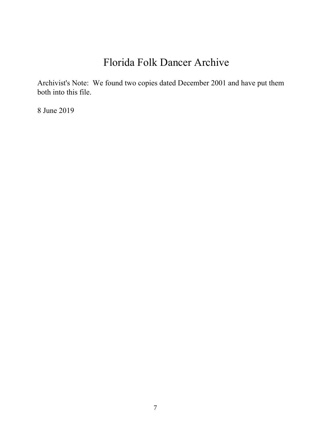# Florida Folk Dancer Archive

Archivist's Note: We found two copies dated December 2001 and have put them both into this file.

8 June 2019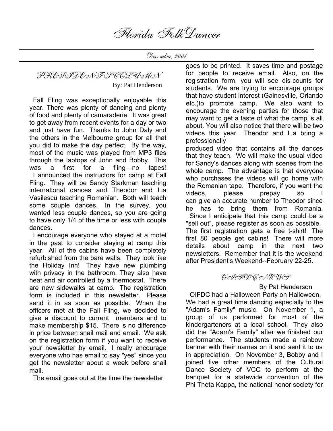December, 2001

PRESIDENT'S COLUMN

By: Pat Henderson

 Fall Fling was exceptionally enjoyable this year. There was plenty of dancing and plenty of food and plenty of camaraderie. It was great to get away from recent events for a day or two and just have fun. Thanks to John Daly and the others in the Melbourne group for all that you did to make the day perfect. By the way, most of the music was played from MP3 files through the laptops of John and Bobby. This was a first for a fling—no tapes! I announced the instructors for camp at Fall Fling. They will be Sandy Starkman teaching international dances and Theodor and Lia Vasilescu teaching Romanian. Both will teach some couple dances. In the survey, you wanted less couple dances, so you are going to have only 1/4 of the time or less with couple dances.

 I encourage everyone who stayed at a motel in the past to consider staying at camp this year. All of the cabins have been completely refurbished from the bare walls. They look like the Holiday Inn! They have new plumbing with privacy in the bathroom. They also have heat and air controlled by a thermostat. There are new sidewalks at camp. The registration form is included in this newsletter. Please send it in as soon as possible. When the officers met at the Fall Fling, we decided to give a discount to current members and to make membership \$15. There is no difference in price between snail mail and email. We ask on the registration form if you want to receive your newsletter by email. I really encourage everyone who has email to say "yes" since you get the newsletter about a week before snail mail.

The email goes out at the time the newsletter

goes to be printed. It saves time and postage for people to receive email. Also, on the registration form, you will see dis-counts for students. We are trying to encourage groups that have student interest (Gainesville, Orlando etc.)to promote camp. We also want to encourage the evening parties for those that may want to get a taste of what the camp is all about. You will also notice that there will be two videos this year. Theodor and Lia bring a professionally produced video that contains all the dances

that they teach. We will make the usual video for Sandy's dances along with scenes from the whole camp. The advantage is that everyone who purchases the videos will go home with the Romanian tape. Therefore, if you want the videos, please prepay so I can give an accurate number to Theodor since he has to bring them from Romania. Since I anticipate that this camp could be a "sell out", please register as soon as possible. The first registration gets a free t-shirt! The first 80 people get cabins! There will more details about camp in the next two newsletters. Remember that it is the weekend after President's Weekend--February 22-25.

## OIFDC NEWS

By Pat Henderson

 OIFDC had a Halloween Party on Halloween. We had a great time dancing especially to the "Adam's Family" music. On November 1, a group of us performed for most of the kindergarteners at a local school. They also did the "Adam's Family" after we finished our performance. The students made a rainbow banner with their names on it and sent it to us in appreciation. On November 3, Bobby and I joined five other members of the Cultural Dance Society of VCC to perform at the banquet for a statewide convention of the Phi Theta Kappa, the national honor society for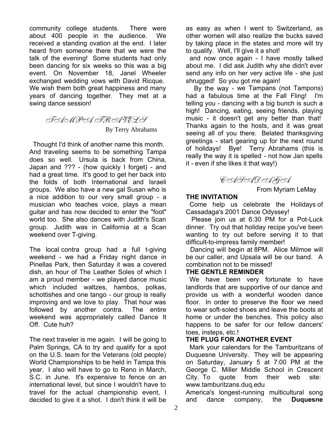community college students. There were about 400 people in the audience. We received a standing ovation at the end. I later heard from someone there that we were the talk of the evening! Some students had only been dancing for six weeks so this was a big event. On November 18, Janel Wheeler exchanged wedding vows with David Ricque. We wish them both great happiness and many years of dancing together. They met at a swing dance session!

TAMPA TRAVELS

By Terry Abrahams

 Thought I'd think of another name this month. And traveling seems to be something Tampa does so well. Ursula is back from China, Japan and ??? - (how quickly I forget) - and had a great time. It's good to get her back into the folds of both International and Israeli groups. We also have a new gal Susan who is a nice addition to our very small group - a musician who teaches voice, plays a mean guitar and has now decided to enter the "foot" world too. She also dances with Judith's Scan group. Judith was in California at a Scan weekend over T-giving.

The local contra group had a full t-giving weekend - we had a Friday night dance in Pinellas Park, then Saturday it was a covered dish, an hour of The Leather Soles of which I am a proud member - we played dance music which included waltzes, hambos, polkas, schottishes and one tango - our group is really improving and we love to play. That hour was followed by another contra. The entire weekend was appropriately called Dance It Off. Cute huh?

The next traveler is me again. I will be going to Palm Springs, CA to try and qualify for a spot on the U.S. team for the Veterans (old people) World Championships to be held in Tampa this year. I also will have to go to Reno in March, S.C. in June. It's expensive to fence on an international level, but since I wouldn't have to travel for the actual championship event, I decided to give it a shot. I don't think it will be

as easy as when I went to Switzerland, as other women will also realize the bucks saved by taking place in the states and more will try to qualify. Well, I'll give it a shot!

 and now once again - I have mostly talked about me. I did ask Judith why she didn't ever send any info on her very active life - she just shrugged! So you got me again!

 By the way - we Tampans (not Tampons) had a fabulous time at the Fall Fling! I'm telling you - dancing with a big bunch is such a high! Dancing, eating, seeing friends, playing music - it doesn't get any better than that! Thanks again to the hosts, and it was great seeing all of you there. Belated thanksgiving greetings - start gearing up for the next round of holidays! Bye! Terry Abrahams (this is really the way it is spelled - not how Jan spells it - even if she likes it that way!)

CASADAGA

From Myriam LeMay

### **THE INVITATION**

 Come help us celebrate the Holidays of Cassadaga's 2001 Dance Odyssey!

 Please join us at 6:30 PM for a Pot-Luck dinner. Try out that holiday recipe you've been wanting to try out before serving it to that difficult-to-impress family member!

 Dancing will begin at 8PM. Alice Milmoe will be our caller, and Upsala will be our band. A combination not to be missed!

### **THE GENTLE REMINDER**

 We have been very fortunate to have landlords that are supportive of our dance and provide us with a wonderful wooden dance floor. In order to preserve the floor we need to wear soft-soled shoes and leave the boots at home or under the benches. This policy also happens to be safer for our fellow dancers' toes, insteps, etc.!

### **THE PLUG FOR ANOTHER EVENT**

 Mark your calendars for the Tamburitzans of Duquesne University. They will be appearing on Saturday, January 5 at 7:00 PM at the George C. Miller Middle School in Crescent City. To quote from their web site: www.tamburitzans.duq.edu

America's longest-running multicultural song and dance company, the **Duquesne**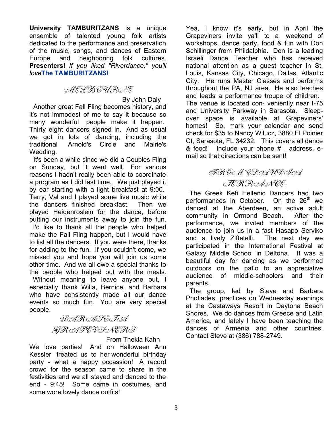**University TAMBURITZANS** is a unique ensemble of talented young folk artists dedicated to the performance and preservation of the music, songs, and dances of Eastern Europe and neighboring folk cultures. **Presenters!** *If you liked "Riverdance," you'll love***The TAMBURITZANS!**

### MELBOURNE

 By John Daly Another great Fall Fling becomes history, and it's not immodest of me to say it because so many wonderful people make it happen. Thirty eight dancers signed in. And as usual we got in lots of dancing, including the traditional Arnold's Circle and Mairie's Wedding.

 It's been a while since we did a Couples Fling on Sunday, but it went well. For various reasons I hadn't really been able to coordinate a program as I did last time. We just played it by ear starting with a light breakfast at 9:00. Terry, Val and I played some live music while the dancers finished breakfast. Then we played Heidenroslein for the dance, before putting our instruments away to join the fun. I'd like to thank all the people who helped make the Fall Fling happen, but I would have to list all the dancers. If you were there, thanks for adding to the fun. If you couldn't come, we missed you and hope you will join us some other time. And we all owe a special thanks to the people who helped out with the meals. Without meaning to leave anyone out, I especially thank Willa, Bernice, and Barbara who have consistently made all our dance events so much fun. You are very special people.

> SARASOTA GRAPEVINERS

> > From Thekla Kahn

We love parties! And on Halloween Ann Kessler treated us to her wonderful birthday party - what a happy occassion! A record crowd for the season came to share in the festivities and we all stayed and danced to the end - 9:45! Some came in costumes, and some wore lovely dance outfits!

Yea, I know it's early, but in April the Grapeviners invite ya'll to a weekend of workshops, dance party, food & fun with Don Schillinger from Phildalphia. Don is a leading Israeli Dance Teacher who has received national attention as a guest teacher in St. Louis, Kansas City, Chicago, Dallas, Atlantic City. He runs Master Classes and performs throughout the PA, NJ area. He also teaches and leads a performance troupe of children. The venue is located con- veniently near I-75 and University Parkway in Sarasota. Sleepover space is available at Grapeviners' homes! So, mark your calendar and send check for \$35 to Nancy Wilucz, 3880 El Poinier Ct, Sarasota, FL 34232. This covers all dance & food! Include your phone # , address, email so that directions can be sent!

# FROM CLAUDIA TERRANCE:

 The Greek Kefi Hellenic Dancers had two performances in October. On the 26<sup>th</sup> we danced at the Aberdeen, an active adult community in Ormond Beach. After the performance, we invited members of the audience to join us in a fast Hasapo Serviko and a lively Ziftetelli. The next day we participated in the International Festival at Galaxy Middle School in Deltona. It was a beautiful day for dancing as we performed outdoors on the patio to an appreciative audience of middle-schoolers and their parents.

 The group, led by Steve and Barbara Photiades, practices on Wednesday evenings at the Castaways Resort in Daytona Beach Shores. We do dances from Greece and Latin America, and lately I have been teaching the dances of Armenia and other countries. Contact Steve at (386) 788-2749.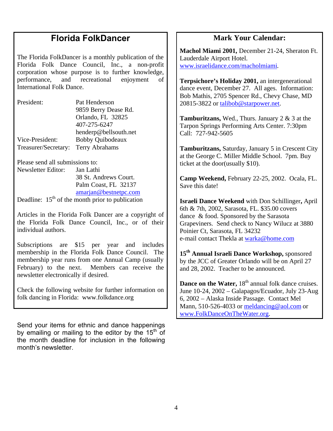# **Florida FolkDancer**

The Florida FolkDancer is a monthly publication of the Florida Folk Dance Council, Inc., a non-profit corporation whose purpose is to further knowledge, performance, and recreational enjoyment of International Folk Dance.

| President:           | Pat Henderson           |
|----------------------|-------------------------|
|                      | 9859 Berry Dease Rd.    |
|                      | Orlando, FL 32825       |
|                      | 407-275-6247            |
|                      | henderp@bellsouth.net   |
| Vice-President:      | <b>Bobby Quibodeaux</b> |
| Treasurer/Secretary: | Terry Abrahams          |

Please send all submissions to:

Newsletter Editor: Jan Lathi 38 St. Andrews Court. Palm Coast, FL 32137 amarian@bestnetpc.com

Deadline:  $15<sup>th</sup>$  of the month prior to publication

Articles in the Florida Folk Dancer are a copyright of the Florida Folk Dance Council, Inc., or of their individual authors.

Subscriptions are \$15 per year and includes membership in the Florida Folk Dance Council. The membership year runs from one Annual Camp (usually February) to the next. Members can receive the newsletter electronically if desired.

Check the following website for further information on folk dancing in Florida: www.folkdance.org

Send your items for ethnic and dance happenings by emailing or mailing to the editor by the  $15<sup>th</sup>$  of the month deadline for inclusion in the following month's newsletter.

## **Mark Your Calendar:**

**Machol Miami 2001,** December 21-24, Sheraton Ft. Lauderdale Airport Hotel. www.israelidance.com/macholmiami.

**Terpsichore's Holiday 2001,** an intergenerational dance event, December 27. All ages. Information: Bob Mathis, 2705 Spencer Rd., Chevy Chase, MD 20815-3822 or talibob@starpower.net.

**Tamburitzans,** Wed., Thurs. January 2 & 3 at the Tarpon Springs Performing Arts Center. 7:30pm Call: 727-942-5605

**Tamburitzans,** Saturday, January 5 in Crescent City at the George C. Miller Middle School. 7pm. Buy ticket at the door(usually \$10).

**Camp Weekend,** February 22-25, 2002. Ocala, FL. Save this date!

**Israeli Dance Weekend** with Don Schillinger**,** April 6th & 7th, 2002, Sarasota, FL. \$35.00 covers dance & food. Sponsored by the Sarasota Grapeviners. Send check to Nancy Wilucz at 3880 Poinier Ct, Sarasota, FL 34232 e-mail contact Thekla at warka@home.com

**15th Annual Israeli Dance Workshop,** sponsored by the JCC of Greater Orlando will be on April 27 and 28, 2002. Teacher to be announced.

**Dance on the Water, 18<sup>th</sup> annual folk dance cruises.** June 10-24, 2002 – Galapagos/Ecuador, July 23-Aug 6, 2002 – Alaska Inside Passage. Contact Mel Mann, 510-526-4033 or meldancing@aol.com or www.FolkDanceOnTheWater.org.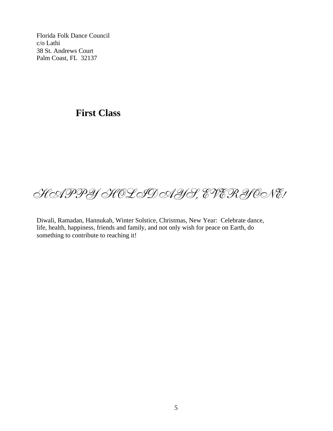Florida Folk Dance Council c/o Lathi 38 St. Andrews Court Palm Coast, FL 32137

# **First Class**

# HAPPY HOLIDAYS, EVERYONE!

Diwali, Ramadan, Hannukah, Winter Solstice, Christmas, New Year: Celebrate dance, life, health, happiness, friends and family, and not only wish for peace on Earth, do something to contribute to reaching it!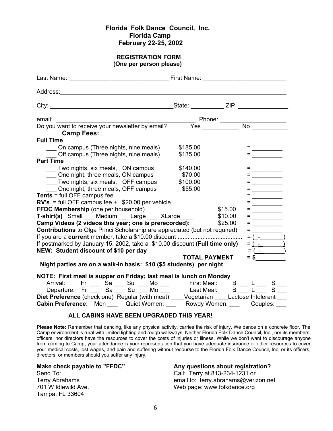#### **Florida Folk Dance Council, Inc. Florida Camp February 22-25, 2002**

#### **REGISTRATION FORM (One per person please)**

| <b>Camp Fees:</b>                                                                         |                      |         |                    |                                                           |  |  |
|-------------------------------------------------------------------------------------------|----------------------|---------|--------------------|-----------------------------------------------------------|--|--|
| <b>Full Time</b>                                                                          |                      |         |                    |                                                           |  |  |
| On campus (Three nights, nine meals)                                                      | \$185.00             |         |                    |                                                           |  |  |
| Off campus (Three nights, nine meals)                                                     | \$135.00             |         |                    |                                                           |  |  |
| <b>Part Time</b>                                                                          |                      |         |                    |                                                           |  |  |
| Two nights, six meals, ON campus                                                          | \$140.00             |         |                    | $\mathcal{L}_{\text{max}}$ and $\mathcal{L}_{\text{max}}$ |  |  |
| One night, three meals, ON campus                                                         | \$70.00              |         |                    |                                                           |  |  |
| Two nights, six meals, OFF campus                                                         | \$100.00             |         |                    |                                                           |  |  |
| One night, three meals, OFF campus                                                        | \$55.00              |         |                    |                                                           |  |  |
| <b>Tents</b> = full OFF campus fee                                                        |                      |         |                    |                                                           |  |  |
| $RV's$ = full OFF campus fee + $$20.00$ per vehicle                                       |                      |         |                    |                                                           |  |  |
| FFDC Membership (one per household)                                                       |                      | \$15.00 | <b>= _________</b> |                                                           |  |  |
| T-shirt(s) Small ___ Medium ___ Large ___ XLarge ___                                      |                      | \$10.00 |                    |                                                           |  |  |
| Camp Videos (2 videos this year; one is prerecorded):                                     |                      | \$25.00 | $=$ $ -$           |                                                           |  |  |
| <b>Contributions</b> to Olga Princi Scholarship are appreciated (but not required)        |                      |         |                    |                                                           |  |  |
|                                                                                           |                      |         |                    |                                                           |  |  |
| If postmarked by January 15, 2002, take a \$10.00 discount (Full time only)               |                      |         | $= ($ $-$          |                                                           |  |  |
| NEW: Student discount of \$10 per day                                                     |                      |         |                    | $= ($ $ )$                                                |  |  |
|                                                                                           | <b>TOTAL PAYMENT</b> |         | $=$ \$             |                                                           |  |  |
| Night parties are on a walk-in basis: \$10 (\$5 students) per night                       |                      |         |                    |                                                           |  |  |
| NOTE: First meal is supper on Friday; last meal is lunch on Monday                        |                      |         |                    |                                                           |  |  |
|                                                                                           |                      |         |                    |                                                           |  |  |
| Arrival: Fr Sa Su Mo First Meal: B L S<br>Departure: Fr Sa Su Su Mo Last Meal: B L S S    |                      |         |                    |                                                           |  |  |
| Diet Preference (check one) Regular (with meat) ____Vegetarian ____Lactose Intolerant ___ |                      |         |                    |                                                           |  |  |
| Cabin Preference: Men ____ Quiet Women: ____ Rowdy Women: ___ Couples: ___                |                      |         |                    |                                                           |  |  |
|                                                                                           |                      |         |                    |                                                           |  |  |
| ALL CADING HAVE BEEN UBOBARED TUIC VEADL                                                  |                      |         |                    |                                                           |  |  |

#### **ALL CABINS HAVE BEEN UPGRADED THIS YEAR!**

**Please Note:** Remember that dancing, like any physical activity, carries the risk of injury. We dance on a concrete floor. The Camp environment is rural with limited lighting and rough walkways. Neither Florida Folk Dance Council, Inc., nor its members, officers, nor directors have the resources to cover the costs of injuries or illness. While we don't want to discourage anyone from coming to Camp, your attendance is your representation that you have adequate insurance or other resources to cover your medical costs, lost wages, and pain and suffering without recourse to the Florida Folk Dance Council, Inc. or its officers, directors, or members should you suffer any injury.

Tampa, FL 33604

#### **Make check payable to "FFDC" Any questions about registration?**

Send To: Call: Terry at 813-234-1231 or Terry Abrahams email to: terry.abrahams@verizon.net 701 W Idlewild Ave. The Mateur Controller and Meb page: www.folkdance.org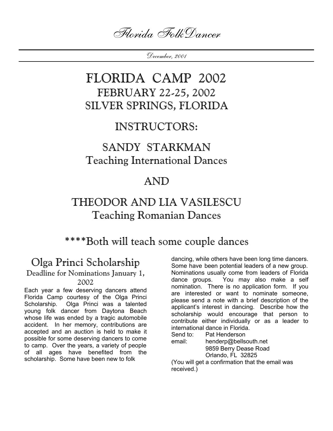Florida FolkDancer

December, 2001

# FLORIDA CAMP 2002 FEBRUARY 22-25, 2002 SILVER SPRINGS, FLORIDA

# INSTRUCTORS:

# SANDY STARKMAN Teaching International Dances

# AND

# THEODOR AND LIA VASILESCU Teaching Romanian Dances

\*\*\*\*Both will teach some couple dances

# Olga Princi Scholarship

#### Deadline for Nominations January 1, 2002

Each year a few deserving dancers attend Florida Camp courtesy of the Olga Princi Scholarship. Olga Princi was a talented young folk dancer from Daytona Beach whose life was ended by a tragic automobile accident. In her memory, contributions are accepted and an auction is held to make it possible for some deserving dancers to come to camp. Over the years, a variety of people of all ages have benefited from the scholarship. Some have been new to folk

dancing, while others have been long time dancers. Some have been potential leaders of a new group. Nominations usually come from leaders of Florida dance groups. You may also make a self nomination. There is no application form. If you are interested or want to nominate someone, please send a note with a brief description of the applicant's interest in dancing. Describe how the scholarship would encourage that person to contribute either individually or as a leader to international dance in Florida.

Send to: Pat Henderson

email: henderp@bellsouth.net 9859 Berry Dease Road Orlando, FL 32825

(You will get a confirmation that the email was received.)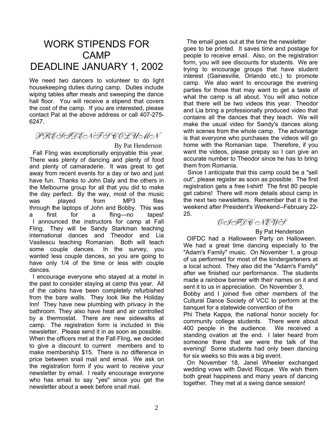# WORK STIPENDS FOR CAMP DEADLINE JANUARY 1, 2002

We need two dancers to volunteer to do light housekeeping duties during camp. Duties include wiping tables after meals and sweeping the dance hall floor. You will receive a stipend that covers the cost of the camp. If you are interested, please contact Pat at the above address or call 407-275- 6247.

## PRESIDENT'S COLUMN

#### By Pat Henderson

 Fall Fling was exceptionally enjoyable this year. There was plenty of dancing and plenty of food and plenty of camaraderie. It was great to get away from recent events for a day or two and just have fun. Thanks to John Daly and the others in the Melbourne group for all that you did to make the day perfect. By the way, most of the music was played from MP3 files through the laptops of John and Bobby. This was a first for a fling—no tapes! I announced the instructors for camp at Fall Fling. They will be Sandy Starkman teaching international dances and Theodor and Lia Vasilescu teaching Romanian. Both will teach some couple dances. In the survey, you wanted less couple dances, so you are going to have only 1/4 of the time or less with couple dances.

 I encourage everyone who stayed at a motel in the past to consider staying at camp this year. All of the cabins have been completely refurbished from the bare walls. They look like the Holiday Inn! They have new plumbing with privacy in the bathroom. They also have heat and air controlled by a thermostat. There are new sidewalks at camp. The registration form is included in this newsletter. Please send it in as soon as possible. When the officers met at the Fall Fling, we decided to give a discount to current members and to make membership \$15. There is no difference in price between snail mail and email. We ask on the registration form if you want to receive your newsletter by email. I really encourage everyone who has email to say "yes" since you get the newsletter about a week before snail mail.

 The email goes out at the time the newsletter goes to be printed. It saves time and postage for people to receive email. Also, on the registration form, you will see discounts for students. We are trying to encourage groups that have student interest (Gainesville, Orlando etc.) to promote camp. We also want to encourage the evening parties for those that may want to get a taste of what the camp is all about. You will also notice that there will be two videos this year. Theodor and Lia bring a professionally produced video that contains all the dances that they teach. We will make the usual video for Sandy's dances along with scenes from the whole camp. The advantage is that everyone who purchases the videos will go home with the Romanian tape. Therefore, if you want the videos, please prepay so I can give an accurate number to Theodor since he has to bring them from Romania.

 Since I anticipate that this camp could be a "sell out", please register as soon as possible. The first registration gets a free t-shirt! The first 80 people get cabins! There will more details about camp in the next two newsletters. Remember that it is the weekend after President's Weekend--February 22- 25.

OHFOR NEWS

#### By Pat Henderson

 OIFDC had a Halloween Party on Halloween. We had a great time dancing especially to the "Adam's Family" music. On November 1, a group of us performed for most of the kindergarteners at a local school. They also did the "Adam's Family" after we finished our performance. The students made a rainbow banner with their names on it and sent it to us in appreciation. On November 3,

Bobby and I joined five other members of the Cultural Dance Society of VCC to perform at the banquet for a statewide convention of the

Phi Theta Kappa, the national honor society for community college students. There were about 400 people in the audience. We received a standing ovation at the end. I later heard from someone there that we were the talk of the evening! Some students had only been dancing for six weeks so this was a big event.

 On November 18, Janel Wheeler exchanged wedding vows with David Ricque. We wish them both great happiness and many years of dancing together. They met at a swing dance session!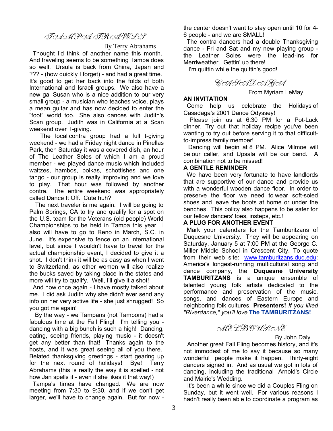## TAMPA TRAVELS

By Terry Abrahams

 Thought I'd think of another name this month. And traveling seems to be something Tampa does so well. Ursula is back from China, Japan and ??? - (how quickly I forget) - and had a great time. It's good to get her back into the folds of both International and Israeli groups. We also have a new gal Susan who is a nice addition to our very small group - a musician who teaches voice, plays a mean guitar and has now decided to enter the "foot" world too. She also dances with Judith's Scan group. Judith was in California at a Scan weekend over T-giving.

 The local contra group had a full t-giving weekend - we had a Friday night dance in Pinellas Park, then Saturday it was a covered dish, an hour of The Leather Soles of which I am a proud member - we played dance music which included waltzes, hambos, polkas, schottishes and one tango - our group is really improving and we love to play. That hour was followed by another contra. The entire weekend was appropriately called Dance It Off. Cute huh?

 The next traveler is me again. I will be going to Palm Springs, CA to try and qualify for a spot on the U.S. team for the Veterans (old people) World Championships to be held in Tampa this year. I also will have to go to Reno in March, S.C. in June. It's expensive to fence on an international level, but since I wouldn't have to travel for the actual championship event, I decided to give it a shot. I don't think it will be as easy as when I went to Switzerland, as other women will also realize the bucks saved by taking place in the states and more will try to qualify. Well, I'll give it a shot!

 And now once again - I have mostly talked about me. I did ask Judith why she didn't ever send any info on her very active life - she just shrugged! So you got me again!

 By the way - we Tampans (not Tampons) had a fabulous time at the Fall Fling! I'm telling you dancing with a big bunch is such a high! Dancing, eating, seeing friends, playing music - it doesn't get any better than that! Thanks again to the hosts, and it was great seeing all of you there. Belated thanksgiving greetings - start gearing up for the next round of holidays! Bye! Terry Abrahams (this is really the way it is spelled - not how Jan spells it - even if she likes it that way!)

 Tampa's times have changed. We are now meeting from 7:30 to 9:30, and if we don't get larger, we'll have to change again. But for now -

the center doesn't want to stay open until 10 for 4- 6 people - and we are SMALL!

 The contra dancers had a double Thanksgiving dance - Fri and Sat and my new playing group the Leather Soles were the lead-ins for Merriweather. Gettin' up there!

I'm quittin while the quittin's good!

CASADAGA

#### From Myriam LeMay

#### **AN INVITATION**

 Come help us celebrate the Holidays of Casadaga's 2001 Dance Odyssey!

 Please join us at 6:30 PM for a Pot-Luck dinner. Try out that holiday recipe you've been wanting to try out before serving it to that difficultto-impress family member!

 Dancing will begin at 8 PM. Alice Milmoe will be our caller, and Upsala will be our band. A combination not to be missed!

#### **A GENTLE REMINDER**

 We have been very fortunate to have landlords that are supportive of our dance and provide us with a wonderful wooden dance floor. In order to preserve the floor we need to wear soft-soled shoes and leave the boots at home or under the benches. This policy also happens to be safer for our fellow dancers' toes, insteps, etc.!

#### **A PLUG FOR ANOTHER EVENT**

 Mark your calendars for the Tamburitzans of Duquesne University. They will be appearing on Saturday, January 5 at 7:00 PM at the George C. Miller Middle School in Crescent City. To quote from their web site: www.tamburitzans.duq.edu: America's longest-running multicultural song and dance company, the **Duquesne University TAMBURITZANS** is a unique ensemble of talented young folk artists dedicated to the performance and preservation of the music, songs, and dances of Eastern Europe and neighboring folk cultures. **Presenters!** *If you liked "Riverdance," you'll love* **The TAMBURITZANS!**

### MELBOURNE

#### By John Daly

 Another great Fall Fling becomes history, and it's not immodest of me to say it because so many wonderful people make it happen. Thirty-eight dancers signed in. And as usual we got in lots of dancing, including the traditional Arnold's Circle and Mairie's Wedding.

 It's been a while since we did a Couples Fling on Sunday, but it went well. For various reasons I hadn't really been able to coordinate a program as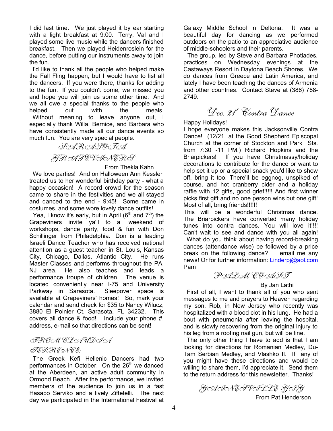I did last time. We just played it by ear starting with a light breakfast at 9:00. Terry, Val and I played some live music while the dancers finished breakfast. Then we played Heidenroslein for the dance, before putting our instruments away to join the fun.

 I'd like to thank all the people who helped make the Fall Fling happen, but I would have to list all the dancers. If you were there, thanks for adding to the fun. If you couldn't come, we missed you and hope you will join us some other time. And we all owe a special thanks to the people who helped out with the meals. Without meaning to leave anyone out, I especially thank Willa, Bernice, and Barbara who have consistently made all our dance events so much fun. You are very special people.

SARASOTA

# GRAPEVINERS

From Thekla Kahn

 We love parties! And on Halloween Ann Kessler treated us to her wonderful birthday party - what a happy occasion! A record crowd for the season came to share in the festivities and we all stayed and danced to the end - 9:45! Some came in costumes, and some wore lovely dance outfits!

Yea, I know it's early, but in April ( $6<sup>th</sup>$  and  $7<sup>th</sup>$ ) the Grapeviners invite ya'll to a weekend of workshops, dance party, food & fun with Don Schillinger from Philadelphia. Don is a leading Israeli Dance Teacher who has received national attention as a guest teacher in St. Louis, Kansas City, Chicago, Dallas, Atlantic City. He runs Master Classes and performs throughout the PA, NJ area. He also teaches and leads a performance troupe of children. The venue is located conveniently near I-75 and University Parkway in Sarasota. Sleepover space is available at Grapeviners' homes! So, mark your calendar and send check for \$35 to Nancy Wilucz, 3880 El Poinier Ct, Sarasota, FL 34232. This covers all dance & food! Include your phone #, address, e-mail so that directions can be sent!

## FROM CLAUDIA

#### TERRENCE:

 The Greek Kefi Hellenic Dancers had two performances in October. On the 26<sup>th</sup> we danced at the Aberdeen, an active adult community in Ormond Beach. After the performance, we invited members of the audience to join us in a fast Hasapo Serviko and a lively Ziftetelli. The next day we participated in the International Festival at

Galaxy Middle School in Deltona. It was a beautiful day for dancing as we performed outdoors on the patio to an appreciative audience of middle-schoolers and their parents.

 The group, led by Steve and Barbara Photiades, practices on Wednesday evenings at the Castaways Resort in Daytona Beach Shores. We do dances from Greece and Latin America, and lately I have been teaching the dances of Armenia and other countries. Contact Steve at (386) 788- 2749.

Dec. 21<sup>t</sup> Contra Dance

### Happy Holidays!

I hope everyone makes this Jacksonville Contra Dance! (12/21, at the Good Shepherd Episcopal Church at the corner of Stockton and Park Sts. from 7:30 -11 PM.) Richard Hopkins and the Briarpickers! If you have Christmassy/holiday decorations to contribute for the dance or want to help set it up or a special snack you'd like to show off, bring it too. There'll be eggnog, unspiked of course, and hot cranberry cider and a holiday raffle with 12 gifts, good grief!!!!! And first winner picks first gift and no one person wins but one gift! Most of all, bring friends!!!!!!!

This will be a wonderful Christmas dance. The Briarpickers have converted many holiday tunes into contra dances. You will love it!!!! Can't wait to see and dance with you all again! What do you think about having record-breaking dances (attendance wise) be followed by a price break on the following dance? email me any news! Or for further information: Linderpj@aol.com Pam

PALM COAST

#### By Jan Lathi

 First of all, I want to thank all of you who sent messages to me and prayers to Heaven regarding my son, Rob, in New Jersey who recently was hospitalized with a blood clot in his lung. He had a bout with pneumonia after leaving the hospital, and is slowly recovering from the original injury to his leg from a roofing nail gun, but will be fine.

 The only other thing I have to add is that I am looking for directions for Romanian Medley, Du-Tam Serbian Medley, and Vlashko II. If any of you might have these directions and would be willing to share them, I'd appreciate it. Send them to the return address for this newsletter. Thanks!

GAINESVILLE GIG From Pat Henderson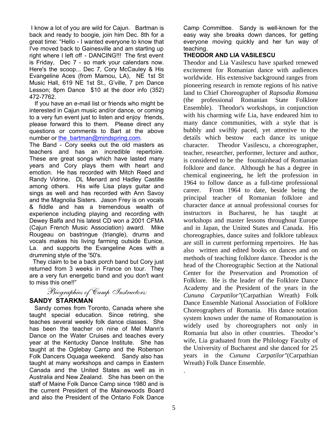I know a lot of you are wild for Cajun. Bartman is back and ready to boogie, join him Dec. 8th for a great time: "Hello - I wanted everyone to know that I've moved back to Gainesville and am starting up right where I left off - DANCING!!! The first event is Friday, Dec 7 - so mark your calendars now. Here's the scoop... Dec 7, Cory McCauley & His Evangeline Aces (from Mamou, LA), NE 1st St Music Hall, 619 NE 1st St., G'ville, 7 pm Dance Lesson; 8pm Dance \$10 at the door info (352) 472-7762.

 If you have an e-mail list or friends who might be interested in Cajun music and/or dance, or coming to a very fun event just to listen and enjoy friends, please forward this to them. Please direct any questions or comments to Bart at the above number or the bartman@mindspring.com.

The Band - Cory seeks out the old masters as teachers and has an incredible repertoire. These are great songs which have lasted many years and Cory plays them with heart and emotion. He has recorded with Mitch Reed and Randy Vidrine, DL Menard and Hadley Castille among others. His wife Lisa plays guitar and sings as well and has recorded with Ann Savoy and the Magnolia Sisters. Jason Frey is on vocals & fiddle and has a tremendous wealth of experience including playing and recording with Dewey Balfa and his latest CD won a 2001 CFMA (Cajun French Music Association) award. Mike Rougeau on bastringue (triangle), drums and vocals makes his living farming outside Eunice, La. and supports the Evangeline Aces with a drumming style of the '50's.

 They claim to be a back porch band but Cory just returned from 3 weeks in France on tour. They are a very fun energetic band and you don't want to miss this one!!"

Biographies of Camp Instructors:

### **SANDY STARKMAN**

 Sandy comes from Toronto, Canada where she taught special education. Since retiring, she teaches several weekly folk dance classes. She has been the teacher on nine of Mel Mann's Dance on the Water Cruises and teaches every year at the Kentucky Dance Institute. She has taught at the Oglebay Camp and the Roberson Folk Dancers Oquaga weekend. Sandy also has taught at many workshops and camps in Eastern Canada and the United States as well as in Australia and New Zealand. She has been on the staff of Maine Folk Dance Camp since 1980 and is the current President of the Mainewoods Board and also the President of the Ontario Folk Dance

Camp Committee. Sandy is well-known for the easy way she breaks down dances, for getting everyone moving quickly and her fun way of teaching.

### **THEODOR AND LIA VASILESCU**

Theodor and Lia Vasilescu have sparked renewed excitement for Romanian dance with audiences worldwide. His extensive background ranges from pioneering research in remote regions of his native land to Chief Choreographer of *Rapsodia Romana* (the professional Romanian State Folklore Ensemble). Theodor's workshops, in conjunction with his charming wife Lia, have endeared him to many dance communities, with a style that is bubbly and swiftly paced, yet attentive to the details which bestow each dance its unique character. Theodor Vasilescu, a choreographer, teacher, researcher, performer, lecturer and author, is considered to be the fountainhead of Romanian folklore and dance. Although he has a degree in chemical engineering, he left the profession in 1964 to follow dance as a full-time professional career. From 1964 to date, beside being the principal teacher of Romanian folklore and character dance at annual professional courses for instructors in Bucharest, he has taught at workshops and master lessons throughout Europe and in Japan, the United States and Canada. His choreographies, dance suites and folklore tableaux are still in current performing repertoires. He has also written and edited books on dances and on methods of teaching folklore dance. Theodor is the head of the Choreographic Section at the National Center for the Preservation and Promotion of Folklore. He is the leader of the Folklore Dance Academy and the President of the years in the *Cununa Carpatilor"*(Carpathian Wreath) Folk Dance Ensemble National Association of Folklore Choreographers of Romania. His dance notation system known under the name of Romanotation is widely used by choreographers not only in Romania but also in other countries. Theodor's wife, Lia graduated from the Philology Faculty of the University of Bucharest and she danced for 25 years in the *Cununa Carpatilor"*(Carpathian Wreath) Folk Dance Ensemble.

.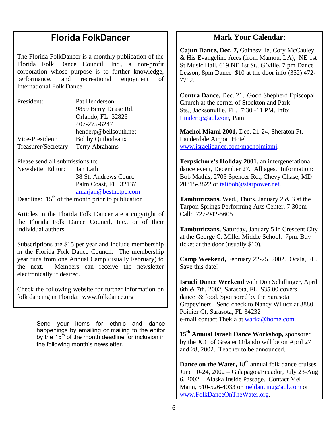# **Florida FolkDancer**

The Florida FolkDancer is a monthly publication of the Florida Folk Dance Council, Inc., a non-profit corporation whose purpose is to further knowledge, performance, and recreational enjoyment of International Folk Dance.

| President:           | Pat Henderson           |
|----------------------|-------------------------|
|                      | 9859 Berry Dease Rd.    |
|                      | Orlando, FL 32825       |
|                      | 407-275-6247            |
|                      | henderp@bellsouth.net   |
| Vice-President:      | <b>Bobby Quibodeaux</b> |
| Treasurer/Secretary: | Terry Abrahams          |

Please send all submissions to:

Newsletter Editor: Jan Lathi 38 St. Andrews Court. Palm Coast, FL 32137 amarjan@bestnetpc.com

Deadline:  $15<sup>th</sup>$  of the month prior to publication

Articles in the Florida Folk Dancer are a copyright of the Florida Folk Dance Council, Inc., or of their individual authors.

Subscriptions are \$15 per year and include membership in the Florida Folk Dance Council. The membership year runs from one Annual Camp (usually February) to the next. Members can receive the newsletter electronically if desired.

Check the following website for further information on folk dancing in Florida: www.folkdance.org

> Send your items for ethnic and dance happenings by emailing or mailing to the editor by the  $15<sup>th</sup>$  of the month deadline for inclusion in the following month's newsletter.

## **Mark Your Calendar:**

**Cajun Dance, Dec. 7,** Gainesville, Cory McCauley & His Evangeline Aces (from Mamou, LA), NE 1st St Music Hall, 619 NE 1st St., G'ville, 7 pm Dance Lesson; 8pm Dance \$10 at the door info (352) 472- 7762.

**Contra Dance,** Dec. 21, Good Shepherd Episcopal Church at the corner of Stockton and Park Sts., Jacksonville, FL, 7:30 -11 PM. Info: Linderpj@aol.com, Pam

**Machol Miami 2001,** Dec. 21-24, Sheraton Ft. Lauderdale Airport Hotel. www.israelidance.com/macholmiami.

**Terpsichore's Holiday 2001,** an intergenerational dance event, December 27. All ages. Information: Bob Mathis, 2705 Spencer Rd., Chevy Chase, MD 20815-3822 or talibob@starpower.net.

**Tamburitzans,** Wed., Thurs. January 2 & 3 at the Tarpon Springs Performing Arts Center. 7:30pm Call: 727-942-5605

**Tamburitzans,** Saturday, January 5 in Crescent City at the George C. Miller Middle School. 7pm. Buy ticket at the door (usually \$10).

**Camp Weekend,** February 22-25, 2002. Ocala, FL. Save this date!

**Israeli Dance Weekend** with Don Schillinger**,** April 6th & 7th, 2002, Sarasota, FL. \$35.00 covers dance & food. Sponsored by the Sarasota Grapeviners. Send check to Nancy Wilucz at 3880 Poinier Ct, Sarasota, FL 34232 e-mail contact Thekla at warka@home.com

**15th Annual Israeli Dance Workshop,** sponsored by the JCC of Greater Orlando will be on April 27 and 28, 2002. Teacher to be announced.

**Dance on the Water, 18<sup>th</sup> annual folk dance cruises.** June 10-24, 2002 – Galapagos/Ecuador, July 23-Aug 6, 2002 – Alaska Inside Passage. Contact Mel Mann, 510-526-4033 or meldancing@aol.com or www.FolkDanceOnTheWater.org.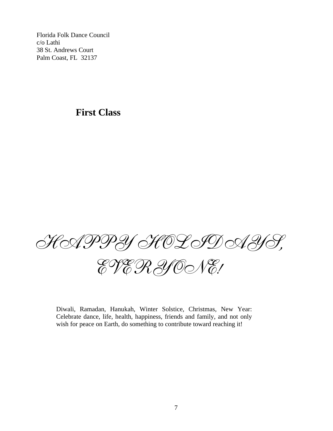Florida Folk Dance Council c/o Lathi 38 St. Andrews Court Palm Coast, FL 32137

# **First Class**



Diwali, Ramadan, Hanukah, Winter Solstice, Christmas, New Year: Celebrate dance, life, health, happiness, friends and family, and not only wish for peace on Earth, do something to contribute toward reaching it!